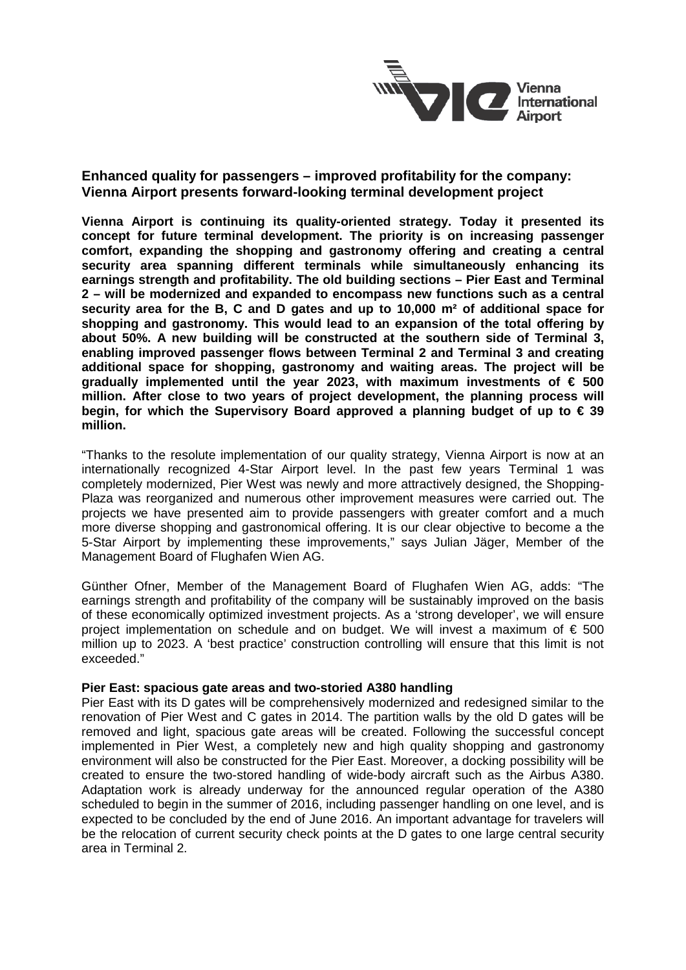

# **Enhanced quality for passengers – improved profitability for the company: Vienna Airport presents forward-looking terminal development project**

**Vienna Airport is continuing its quality-oriented strategy. Today it presented its concept for future terminal development. The priority is on increasing passenger comfort, expanding the shopping and gastronomy offering and creating a central security area spanning different terminals while simultaneously enhancing its earnings strength and profitability. The old building sections – Pier East and Terminal 2 – will be modernized and expanded to encompass new functions such as a central security area for the B, C and D gates and up to 10,000 m² of additional space for shopping and gastronomy. This would lead to an expansion of the total offering by about 50%. A new building will be constructed at the southern side of Terminal 3, enabling improved passenger flows between Terminal 2 and Terminal 3 and creating additional space for shopping, gastronomy and waiting areas. The project will be gradually implemented until the year 2023, with maximum investments of € 500 million. After close to two years of project development, the planning process will begin, for which the Supervisory Board approved a planning budget of up to € 39 million.** 

"Thanks to the resolute implementation of our quality strategy, Vienna Airport is now at an internationally recognized 4-Star Airport level. In the past few years Terminal 1 was completely modernized, Pier West was newly and more attractively designed, the Shopping-Plaza was reorganized and numerous other improvement measures were carried out. The projects we have presented aim to provide passengers with greater comfort and a much more diverse shopping and gastronomical offering. It is our clear objective to become a the 5-Star Airport by implementing these improvements," says Julian Jäger, Member of the Management Board of Flughafen Wien AG.

Günther Ofner, Member of the Management Board of Flughafen Wien AG, adds: "The earnings strength and profitability of the company will be sustainably improved on the basis of these economically optimized investment projects. As a 'strong developer', we will ensure project implementation on schedule and on budget. We will invest a maximum of  $\epsilon$  500 million up to 2023. A 'best practice' construction controlling will ensure that this limit is not exceeded."

## **Pier East: spacious gate areas and two-storied A380 handling**

Pier East with its D gates will be comprehensively modernized and redesigned similar to the renovation of Pier West and C gates in 2014. The partition walls by the old D gates will be removed and light, spacious gate areas will be created. Following the successful concept implemented in Pier West, a completely new and high quality shopping and gastronomy environment will also be constructed for the Pier East. Moreover, a docking possibility will be created to ensure the two-stored handling of wide-body aircraft such as the Airbus A380. Adaptation work is already underway for the announced regular operation of the A380 scheduled to begin in the summer of 2016, including passenger handling on one level, and is expected to be concluded by the end of June 2016. An important advantage for travelers will be the relocation of current security check points at the D gates to one large central security area in Terminal 2.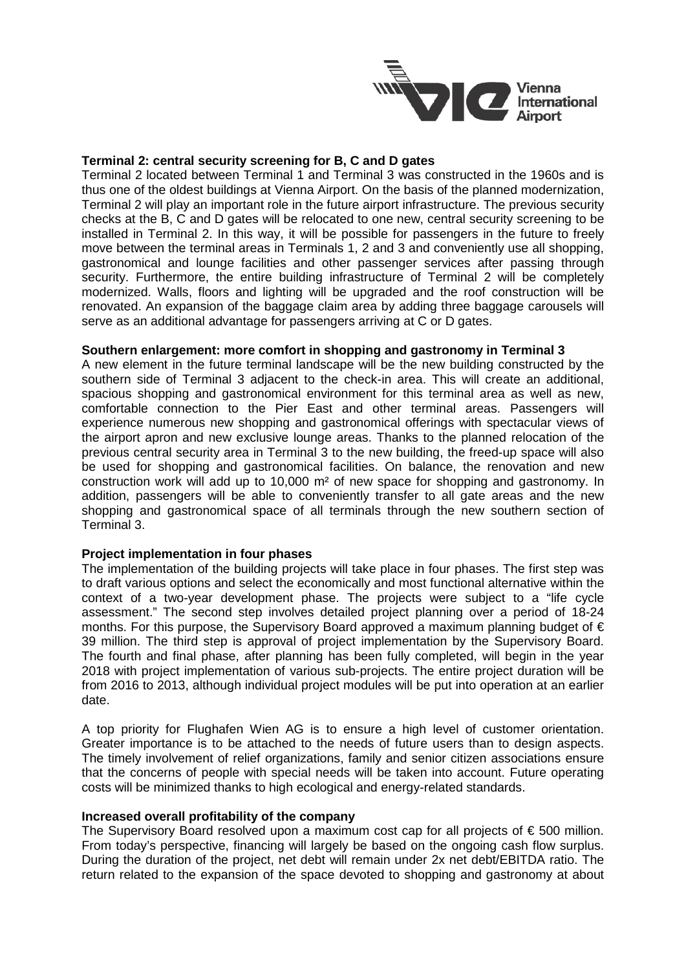

### **Terminal 2: central security screening for B, C and D gates**

Terminal 2 located between Terminal 1 and Terminal 3 was constructed in the 1960s and is thus one of the oldest buildings at Vienna Airport. On the basis of the planned modernization, Terminal 2 will play an important role in the future airport infrastructure. The previous security checks at the B, C and D gates will be relocated to one new, central security screening to be installed in Terminal 2. In this way, it will be possible for passengers in the future to freely move between the terminal areas in Terminals 1, 2 and 3 and conveniently use all shopping, gastronomical and lounge facilities and other passenger services after passing through security. Furthermore, the entire building infrastructure of Terminal 2 will be completely modernized. Walls, floors and lighting will be upgraded and the roof construction will be renovated. An expansion of the baggage claim area by adding three baggage carousels will serve as an additional advantage for passengers arriving at C or D gates.

#### **Southern enlargement: more comfort in shopping and gastronomy in Terminal 3**

A new element in the future terminal landscape will be the new building constructed by the southern side of Terminal 3 adiacent to the check-in area. This will create an additional, spacious shopping and gastronomical environment for this terminal area as well as new, comfortable connection to the Pier East and other terminal areas. Passengers will experience numerous new shopping and gastronomical offerings with spectacular views of the airport apron and new exclusive lounge areas. Thanks to the planned relocation of the previous central security area in Terminal 3 to the new building, the freed-up space will also be used for shopping and gastronomical facilities. On balance, the renovation and new construction work will add up to 10,000 m² of new space for shopping and gastronomy. In addition, passengers will be able to conveniently transfer to all gate areas and the new shopping and gastronomical space of all terminals through the new southern section of Terminal 3.

### **Project implementation in four phases**

The implementation of the building projects will take place in four phases. The first step was to draft various options and select the economically and most functional alternative within the context of a two-year development phase. The projects were subject to a "life cycle assessment." The second step involves detailed project planning over a period of 18-24 months. For this purpose, the Supervisory Board approved a maximum planning budget of  $\epsilon$ 39 million. The third step is approval of project implementation by the Supervisory Board. The fourth and final phase, after planning has been fully completed, will begin in the year 2018 with project implementation of various sub-projects. The entire project duration will be from 2016 to 2013, although individual project modules will be put into operation at an earlier date.

A top priority for Flughafen Wien AG is to ensure a high level of customer orientation. Greater importance is to be attached to the needs of future users than to design aspects. The timely involvement of relief organizations, family and senior citizen associations ensure that the concerns of people with special needs will be taken into account. Future operating costs will be minimized thanks to high ecological and energy-related standards.

### **Increased overall profitability of the company**

The Supervisory Board resolved upon a maximum cost cap for all projects of  $\epsilon$  500 million. From today's perspective, financing will largely be based on the ongoing cash flow surplus. During the duration of the project, net debt will remain under 2x net debt/EBITDA ratio. The return related to the expansion of the space devoted to shopping and gastronomy at about